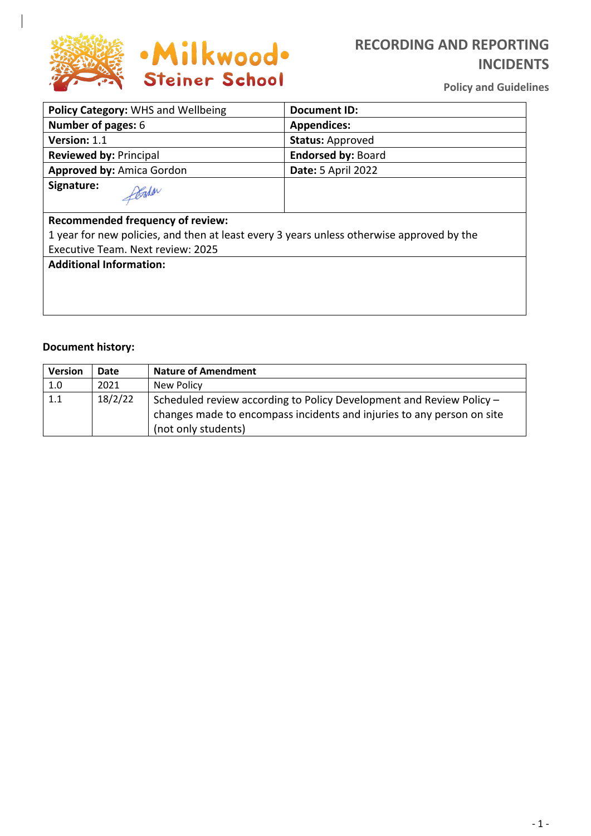

# **RECORDING AND REPORTING INCIDENTS**

**Policy and Guidelines**

| Policy Category: WHS and Wellbeing                                                        | <b>Document ID:</b>       |  |
|-------------------------------------------------------------------------------------------|---------------------------|--|
| Number of pages: 6                                                                        | <b>Appendices:</b>        |  |
| Version: 1.1                                                                              | <b>Status: Approved</b>   |  |
| <b>Reviewed by: Principal</b>                                                             | <b>Endorsed by: Board</b> |  |
| Approved by: Amica Gordon                                                                 | <b>Date: 5 April 2022</b> |  |
| Signature:<br>Pada                                                                        |                           |  |
| <b>Recommended frequency of review:</b>                                                   |                           |  |
| 1 year for new policies, and then at least every 3 years unless otherwise approved by the |                           |  |
| Executive Team. Next review: 2025                                                         |                           |  |
| <b>Additional Information:</b>                                                            |                           |  |
|                                                                                           |                           |  |
|                                                                                           |                           |  |
|                                                                                           |                           |  |

### **Document history:**

| <b>Version</b> | Date    | <b>Nature of Amendment</b>                                                                                                                                            |
|----------------|---------|-----------------------------------------------------------------------------------------------------------------------------------------------------------------------|
| 1.0            | 2021    | New Policy                                                                                                                                                            |
| 1.1            | 18/2/22 | Scheduled review according to Policy Development and Review Policy -<br>changes made to encompass incidents and injuries to any person on site<br>(not only students) |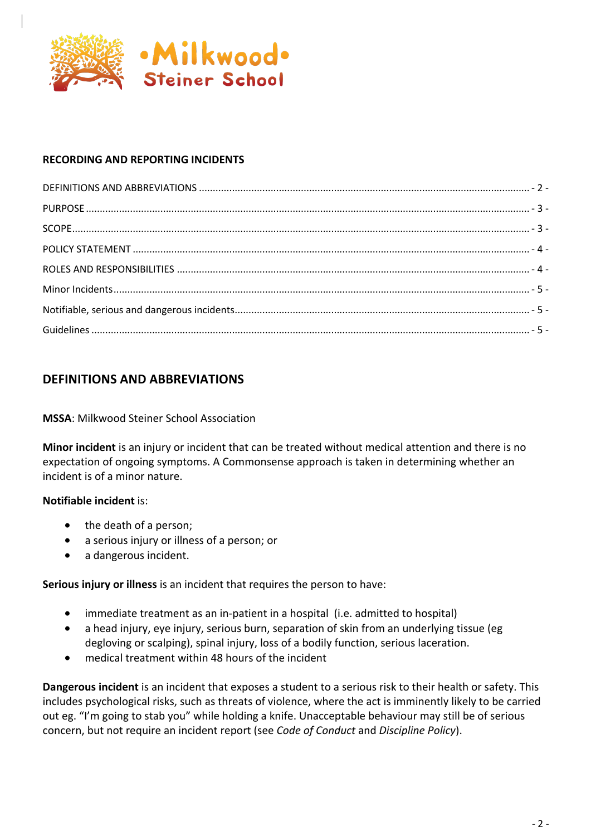

### **RECORDING AND REPORTING INCIDENTS**

### **DEFINITIONS AND ABBREVIATIONS**

#### **MSSA**: Milkwood Steiner School Association

**Minor incident** is an injury or incident that can be treated without medical attention and there is no expectation of ongoing symptoms. A Commonsense approach is taken in determining whether an incident is of a minor nature.

#### **Notifiable incident** is:

- the death of a person;
- a serious injury or illness of a person; or
- a dangerous incident.

**Serious injury or illness** is an incident that requires the person to have:

- immediate treatment as an in-patient in a hospital (i.e. admitted to hospital)
- a head injury, eye injury, serious burn, separation of skin from an underlying tissue (eg degloving or scalping), spinal injury, loss of a bodily function, serious laceration.
- medical treatment within 48 hours of the incident

**Dangerous incident** is an incident that exposes a student to a serious risk to their health or safety. This includes psychological risks, such as threats of violence, where the act is imminently likely to be carried out eg. "I'm going to stab you" while holding a knife. Unacceptable behaviour may still be of serious concern, but not require an incident report (see *Code of Conduct* and *Discipline Policy*).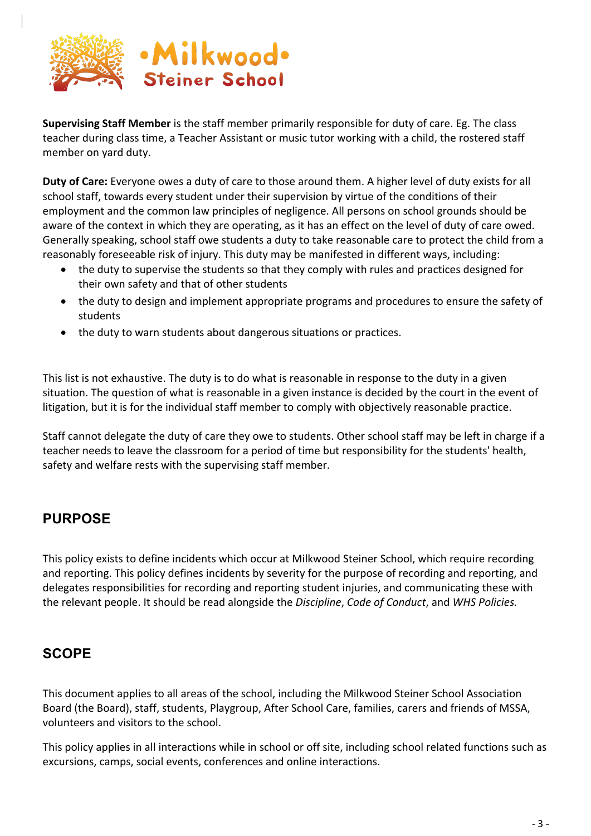

**Supervising Staff Member** is the staff member primarily responsible for duty of care. Eg. The class teacher during class time, a Teacher Assistant or music tutor working with a child, the rostered staff member on yard duty.

**Duty of Care:** Everyone owes a duty of care to those around them. A higher level of duty exists for all school staff, towards every student under their supervision by virtue of the conditions of their employment and the common law principles of negligence. All persons on school grounds should be aware of the context in which they are operating, as it has an effect on the level of duty of care owed. Generally speaking, school staff owe students a duty to take reasonable care to protect the child from a reasonably foreseeable risk of injury. This duty may be manifested in different ways, including:

- the duty to supervise the students so that they comply with rules and practices designed for their own safety and that of other students
- the duty to design and implement appropriate programs and procedures to ensure the safety of students
- the duty to warn students about dangerous situations or practices.

This list is not exhaustive. The duty is to do what is reasonable in response to the duty in a given situation. The question of what is reasonable in a given instance is decided by the court in the event of litigation, but it is for the individual staff member to comply with objectively reasonable practice.

Staff cannot delegate the duty of care they owe to students. Other school staff may be left in charge if a teacher needs to leave the classroom for a period of time but responsibility for the students' health, safety and welfare rests with the supervising staff member.

# **PURPOSE**

This policy exists to define incidents which occur at Milkwood Steiner School, which require recording and reporting. This policy defines incidents by severity for the purpose of recording and reporting, and delegates responsibilities for recording and reporting student injuries, and communicating these with the relevant people. It should be read alongside the *Discipline*, *Code of Conduct*, and *WHS Policies.*

## **SCOPE**

This document applies to all areas of the school, including the Milkwood Steiner School Association Board (the Board), staff, students, Playgroup, After School Care, families, carers and friends of MSSA, volunteers and visitors to the school.

This policy applies in all interactions while in school or off site, including school related functions such as excursions, camps, social events, conferences and online interactions.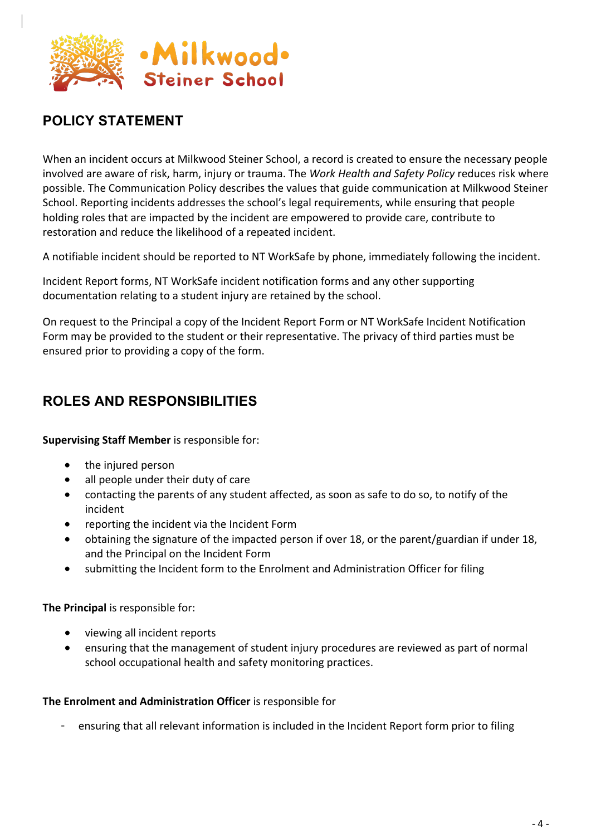

# **POLICY STATEMENT**

When an incident occurs at Milkwood Steiner School, a record is created to ensure the necessary people involved are aware of risk, harm, injury or trauma. The *Work Health and Safety Policy* reduces risk where possible. The Communication Policy describes the values that guide communication at Milkwood Steiner School. Reporting incidents addresses the school's legal requirements, while ensuring that people holding roles that are impacted by the incident are empowered to provide care, contribute to restoration and reduce the likelihood of a repeated incident.

A notifiable incident should be reported to NT WorkSafe by phone, immediately following the incident.

Incident Report forms, NT WorkSafe incident notification forms and any other supporting documentation relating to a student injury are retained by the school.

On request to the Principal a copy of the Incident Report Form or NT WorkSafe Incident Notification Form may be provided to the student or their representative. The privacy of third parties must be ensured prior to providing a copy of the form.

# **ROLES AND RESPONSIBILITIES**

**Supervising Staff Member** is responsible for:

- the injured person
- all people under their duty of care
- contacting the parents of any student affected, as soon as safe to do so, to notify of the incident
- reporting the incident via the Incident Form
- obtaining the signature of the impacted person if over 18, or the parent/guardian if under 18, and the Principal on the Incident Form
- submitting the Incident form to the Enrolment and Administration Officer for filing

**The Principal** is responsible for:

- viewing all incident reports
- ensuring that the management of student injury procedures are reviewed as part of normal school occupational health and safety monitoring practices.

#### **The Enrolment and Administration Officer** is responsible for

- ensuring that all relevant information is included in the Incident Report form prior to filing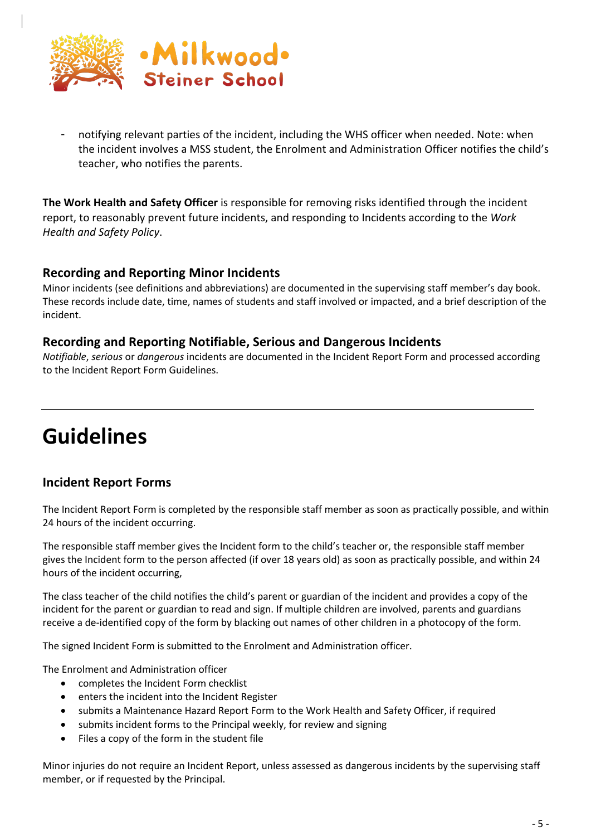

notifying relevant parties of the incident, including the WHS officer when needed. Note: when the incident involves a MSS student, the Enrolment and Administration Officer notifies the child's teacher, who notifies the parents.

**The Work Health and Safety Officer** is responsible for removing risks identified through the incident report, to reasonably prevent future incidents, and responding to Incidents according to the *Work Health and Safety Policy*.

### **Recording and Reporting Minor Incidents**

Minor incidents (see definitions and abbreviations) are documented in the supervising staff member's day book. These records include date, time, names of students and staff involved or impacted, and a brief description of the incident.

#### **Recording and Reporting Notifiable, Serious and Dangerous Incidents**

*Notifiable*, *serious* or *dangerous* incidents are documented in the Incident Report Form and processed according to the Incident Report Form Guidelines.

# **Guidelines**

### **Incident Report Forms**

The Incident Report Form is completed by the responsible staff member as soon as practically possible, and within 24 hours of the incident occurring.

The responsible staff member gives the Incident form to the child's teacher or, the responsible staff member gives the Incident form to the person affected (if over 18 years old) as soon as practically possible, and within 24 hours of the incident occurring,

The class teacher of the child notifies the child's parent or guardian of the incident and provides a copy of the incident for the parent or guardian to read and sign. If multiple children are involved, parents and guardians receive a de-identified copy of the form by blacking out names of other children in a photocopy of the form.

The signed Incident Form is submitted to the Enrolment and Administration officer.

The Enrolment and Administration officer

- completes the Incident Form checklist
- enters the incident into the Incident Register
- submits a Maintenance Hazard Report Form to the Work Health and Safety Officer, if required
- submits incident forms to the Principal weekly, for review and signing
- Files a copy of the form in the student file

Minor injuries do not require an Incident Report, unless assessed as dangerous incidents by the supervising staff member, or if requested by the Principal.